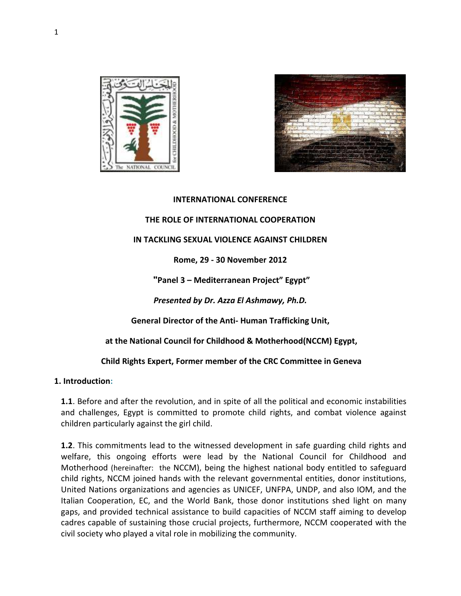



#### **INTERNATIONAL CONFERENCE**

#### **THE ROLE OF INTERNATIONAL COOPERATION**

### **IN TACKLING SEXUAL VIOLENCE AGAINST CHILDREN**

### **Rome, 29 - 30 November 2012**

 **"Panel 3 – Mediterranean Project" Egypt"** 

*Presented by Dr. Azza El Ashmawy, Ph.D.* 

**General Director of the Anti- Human Trafficking Unit,** 

 **at the National Council for Childhood & Motherhood(NCCM) Egypt,** 

### **Child Rights Expert, Former member of the CRC Committee in Geneva**

### **1. Introduction:**

**1.1**. Before and after the revolution, and in spite of all the political and economic instabilities and challenges, Egypt is committed to promote child rights, and combat violence against children particularly against the girl child.

**1.2**. This commitments lead to the witnessed development in safe guarding child rights and welfare, this ongoing efforts were lead by the National Council for Childhood and Motherhood (hereinafter: the NCCM), being the highest national body entitled to safeguard child rights, NCCM joined hands with the relevant governmental entities, donor institutions, United Nations organizations and agencies as UNICEF, UNFPA, UNDP, and also IOM, and the Italian Cooperation, EC, and the World Bank, those donor institutions shed light on many gaps, and provided technical assistance to build capacities of NCCM staff aiming to develop cadres capable of sustaining those crucial projects, furthermore, NCCM cooperated with the civil society who played a vital role in mobilizing the community.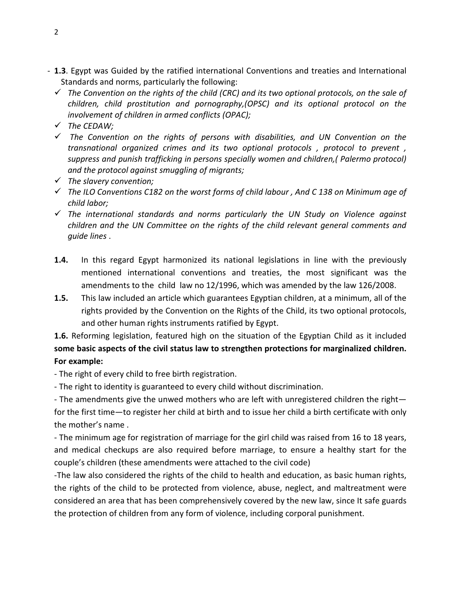- **1.3**. Egypt was Guided by the ratified international Conventions and treaties and International Standards and norms, particularly the following:
	- *The Convention on the rights of the child (CRC) and its two optional protocols, on the sale of children, child prostitution and pornography,(OPSC) and its optional protocol on the involvement of children in armed conflicts (OPAC);*
	- *The CEDAW;*
	- *The Convention on the rights of persons with disabilities, and UN Convention on the transnational organized crimes and its two optional protocols , protocol to prevent , suppress and punish trafficking in persons specially women and children,( Palermo protocol) and the protocol against smuggling of migrants;*
	- *The slavery convention;*
	- *The ILO Conventions C182 on the worst forms of child labour , And C 138 on Minimum age of child labor;*
	- *The international standards and norms particularly the UN Study on Violence against children and the UN Committee on the rights of the child relevant general comments and guide lines* .
	- **1.4.** In this regard Egypt harmonized its national legislations in line with the previously mentioned international conventions and treaties, the most significant was the amendments to the child law no 12/1996, which was amended by the law 126/2008.
	- **1.5.** This law included an article which guarantees Egyptian children, at a minimum, all of the rights provided by the Convention on the Rights of the Child, its two optional protocols, and other human rights instruments ratified by Egypt.

# **1.6.** Reforming legislation, featured high on the situation of the Egyptian Child as it included **some basic aspects of the civil status law to strengthen protections for marginalized children. For example:**

- The right of every child to free birth registration.

- The right to identity is guaranteed to every child without discrimination.

- The amendments give the unwed mothers who are left with unregistered children the right for the first time—to register her child at birth and to issue her child a birth certificate with only the mother's name .

- The minimum age for registration of marriage for the girl child was raised from 16 to 18 years, and medical checkups are also required before marriage, to ensure a healthy start for the couple's children (these amendments were attached to the civil code)

-The law also considered the rights of the child to health and education, as basic human rights, the rights of the child to be protected from violence, abuse, neglect, and maltreatment were considered an area that has been comprehensively covered by the new law, since It safe guards the protection of children from any form of violence, including corporal punishment.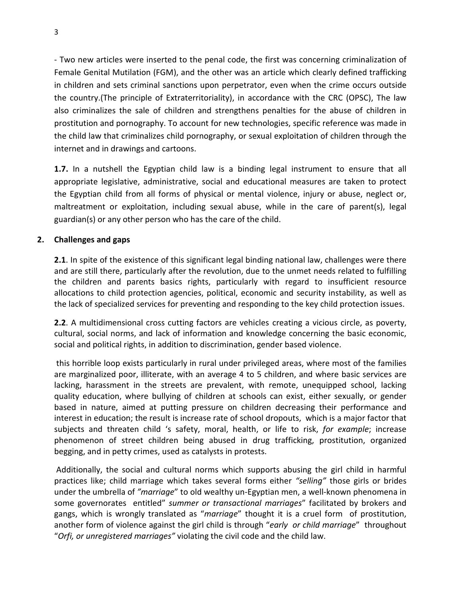- Two new articles were inserted to the penal code, the first was concerning criminalization of Female Genital Mutilation (FGM), and the other was an article which clearly defined trafficking in children and sets criminal sanctions upon perpetrator, even when the crime occurs outside the country.(The principle of Extraterritoriality), in accordance with the CRC (OPSC), The law also criminalizes the sale of children and strengthens penalties for the abuse of children in prostitution and pornography. To account for new technologies, specific reference was made in the child law that criminalizes child pornography, or sexual exploitation of children through the internet and in drawings and cartoons.

**1.7.** In a nutshell the Egyptian child law is a binding legal instrument to ensure that all appropriate legislative, administrative, social and educational measures are taken to protect the Egyptian child from all forms of physical or mental violence, injury or abuse, neglect or, maltreatment or exploitation, including sexual abuse, while in the care of parent(s), legal guardian(s) or any other person who has the care of the child.

## **2. Challenges and gaps**

**2.1**. In spite of the existence of this significant legal binding national law, challenges were there and are still there, particularly after the revolution, due to the unmet needs related to fulfilling the children and parents basics rights, particularly with regard to insufficient resource allocations to child protection agencies, political, economic and security instability, as well as the lack of specialized services for preventing and responding to the key child protection issues.

**2.2**. A multidimensional cross cutting factors are vehicles creating a vicious circle, as poverty, cultural, social norms, and lack of information and knowledge concerning the basic economic, social and political rights, in addition to discrimination, gender based violence.

 this horrible loop exists particularly in rural under privileged areas, where most of the families are marginalized poor, illiterate, with an average 4 to 5 children, and where basic services are lacking, harassment in the streets are prevalent, with remote, unequipped school, lacking quality education, where bullying of children at schools can exist, either sexually, or gender based in nature, aimed at putting pressure on children decreasing their performance and interest in education; the result is increase rate of school dropouts, which is a major factor that subjects and threaten child 's safety, moral, health, or life to risk, *for example*; increase phenomenon of street children being abused in drug trafficking, prostitution, organized begging, and in petty crimes, used as catalysts in protests.

 Additionally, the social and cultural norms which supports abusing the girl child in harmful practices like; child marriage which takes several forms either *"selling"* those girls or brides under the umbrella of *"marriage*" to old wealthy un-Egyptian men, a well-known phenomena in some governorates entitled" *summer or transactional marriages*" facilitated by brokers and gangs, which is wrongly translated as "*marriage*" thought it is a cruel form of prostitution, another form of violence against the girl child is through "*early or child marriage*" throughout "*Orfi, or unregistered marriages"* violating the civil code and the child law.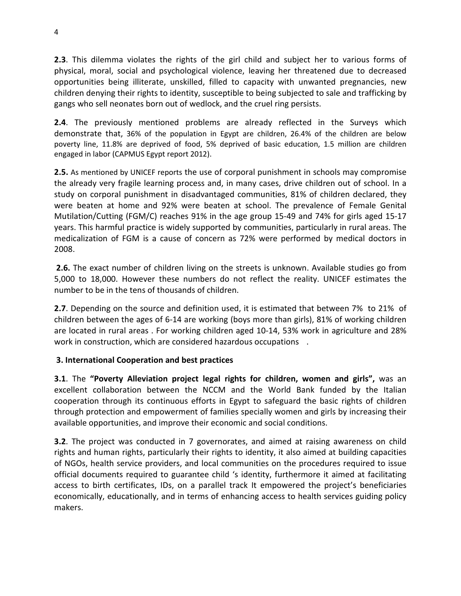**2.3**. This dilemma violates the rights of the girl child and subject her to various forms of physical, moral, social and psychological violence, leaving her threatened due to decreased opportunities being illiterate, unskilled, filled to capacity with unwanted pregnancies, new children denying their rights to identity, susceptible to being subjected to sale and trafficking by gangs who sell neonates born out of wedlock, and the cruel ring persists.

**2.4**. The previously mentioned problems are already reflected in the Surveys which demonstrate that, 36% of the population in Egypt are children, 26.4% of the children are below poverty line, 11.8% are deprived of food, 5% deprived of basic education, 1.5 million are children engaged in labor (CAPMUS Egypt report 2012).

**2.5.** As mentioned by UNICEF reports the use of corporal punishment in schools may compromise the already very fragile learning process and, in many cases, drive children out of school. In a study on corporal punishment in disadvantaged communities, 81% of children declared, they were beaten at home and 92% were beaten at school. The prevalence of Female Genital Mutilation/Cutting (FGM/C) reaches 91% in the age group 15-49 and 74% for girls aged 15-17 years. This harmful practice is widely supported by communities, particularly in rural areas. The medicalization of FGM is a cause of concern as 72% were performed by medical doctors in 2008.

 **2.6.** The exact number of children living on the streets is unknown. Available studies go from 5,000 to 18,000. However these numbers do not reflect the reality. UNICEF estimates the number to be in the tens of thousands of children.

**2.7**. Depending on the source and definition used, it is estimated that between 7% to 21% of children between the ages of 6-14 are working (boys more than girls), 81% of working children are located in rural areas . For working children aged 10-14, 53% work in agriculture and 28% work in construction, which are considered hazardous occupations .

## **3. International Cooperation and best practices**

**3.1**. The **"Poverty Alleviation project legal rights for children, women and girls",** was an excellent collaboration between the NCCM and the World Bank funded by the Italian cooperation through its continuous efforts in Egypt to safeguard the basic rights of children through protection and empowerment of families specially women and girls by increasing their available opportunities, and improve their economic and social conditions.

**3.2**. The project was conducted in 7 governorates, and aimed at raising awareness on child rights and human rights, particularly their rights to identity, it also aimed at building capacities of NGOs, health service providers, and local communities on the procedures required to issue official documents required to guarantee child 's identity, furthermore it aimed at facilitating access to birth certificates, IDs, on a parallel track It empowered the project's beneficiaries economically, educationally, and in terms of enhancing access to health services guiding policy makers.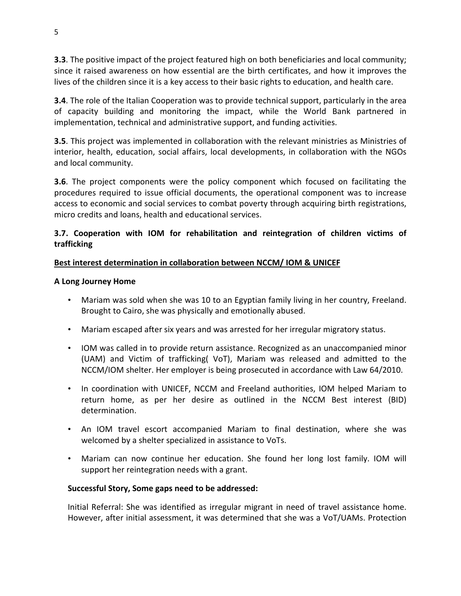**3.3**. The positive impact of the project featured high on both beneficiaries and local community; since it raised awareness on how essential are the birth certificates, and how it improves the lives of the children since it is a key access to their basic rights to education, and health care.

**3.4**. The role of the Italian Cooperation was to provide technical support, particularly in the area of capacity building and monitoring the impact, while the World Bank partnered in implementation, technical and administrative support, and funding activities.

**3.5**. This project was implemented in collaboration with the relevant ministries as Ministries of interior, health, education, social affairs, local developments, in collaboration with the NGOs and local community.

**3.6**. The project components were the policy component which focused on facilitating the procedures required to issue official documents, the operational component was to increase access to economic and social services to combat poverty through acquiring birth registrations, micro credits and loans, health and educational services.

## **3.7. Cooperation with IOM for rehabilitation and reintegration of children victims of trafficking**

## **Best interest determination in collaboration between NCCM/ IOM & UNICEF**

## **A Long Journey Home**

- Mariam was sold when she was 10 to an Egyptian family living in her country, Freeland. Brought to Cairo, she was physically and emotionally abused.
- Mariam escaped after six years and was arrested for her irregular migratory status.
- IOM was called in to provide return assistance. Recognized as an unaccompanied minor (UAM) and Victim of trafficking( VoT), Mariam was released and admitted to the NCCM/IOM shelter. Her employer is being prosecuted in accordance with Law 64/2010.
- In coordination with UNICEF, NCCM and Freeland authorities, IOM helped Mariam to return home, as per her desire as outlined in the NCCM Best interest (BID) determination.
- An IOM travel escort accompanied Mariam to final destination, where she was welcomed by a shelter specialized in assistance to VoTs.
- Mariam can now continue her education. She found her long lost family. IOM will support her reintegration needs with a grant.

## **Successful Story, Some gaps need to be addressed:**

Initial Referral: She was identified as irregular migrant in need of travel assistance home. However, after initial assessment, it was determined that she was a VoT/UAMs. Protection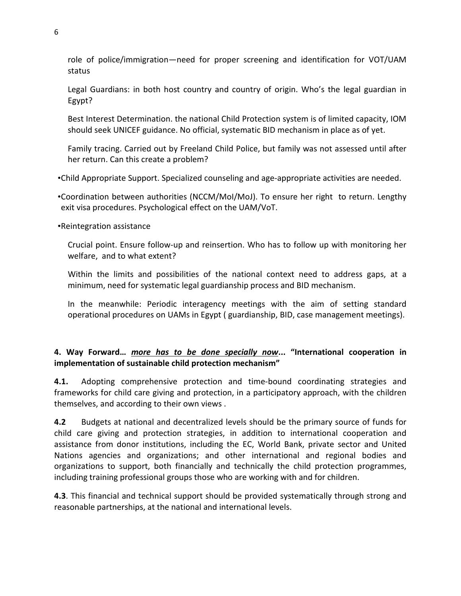role of police/immigration—need for proper screening and identification for VOT/UAM status

Legal Guardians: in both host country and country of origin. Who's the legal guardian in Egypt?

Best Interest Determination. the national Child Protection system is of limited capacity, IOM should seek UNICEF guidance. No official, systematic BID mechanism in place as of yet.

Family tracing. Carried out by Freeland Child Police, but family was not assessed until after her return. Can this create a problem?

•Child Appropriate Support. Specialized counseling and age-appropriate activities are needed.

•Coordination between authorities (NCCM/MoI/MoJ). To ensure her right to return. Lengthy exit visa procedures. Psychological effect on the UAM/VoT.

•Reintegration assistance

Crucial point. Ensure follow-up and reinsertion. Who has to follow up with monitoring her welfare, and to what extent?

Within the limits and possibilities of the national context need to address gaps, at a minimum, need for systematic legal guardianship process and BID mechanism.

In the meanwhile: Periodic interagency meetings with the aim of setting standard operational procedures on UAMs in Egypt ( guardianship, BID, case management meetings).

## **4. Way Forward…** *more has to be done specially now***... "International cooperation in implementation of sustainable child protection mechanism"**

**4.1.** Adopting comprehensive protection and time-bound coordinating strategies and frameworks for child care giving and protection, in a participatory approach, with the children themselves, and according to their own views .

**4.2** Budgets at national and decentralized levels should be the primary source of funds for child care giving and protection strategies, in addition to international cooperation and assistance from donor institutions, including the EC, World Bank, private sector and United Nations agencies and organizations; and other international and regional bodies and organizations to support, both financially and technically the child protection programmes, including training professional groups those who are working with and for children.

**4.3**. This financial and technical support should be provided systematically through strong and reasonable partnerships, at the national and international levels.